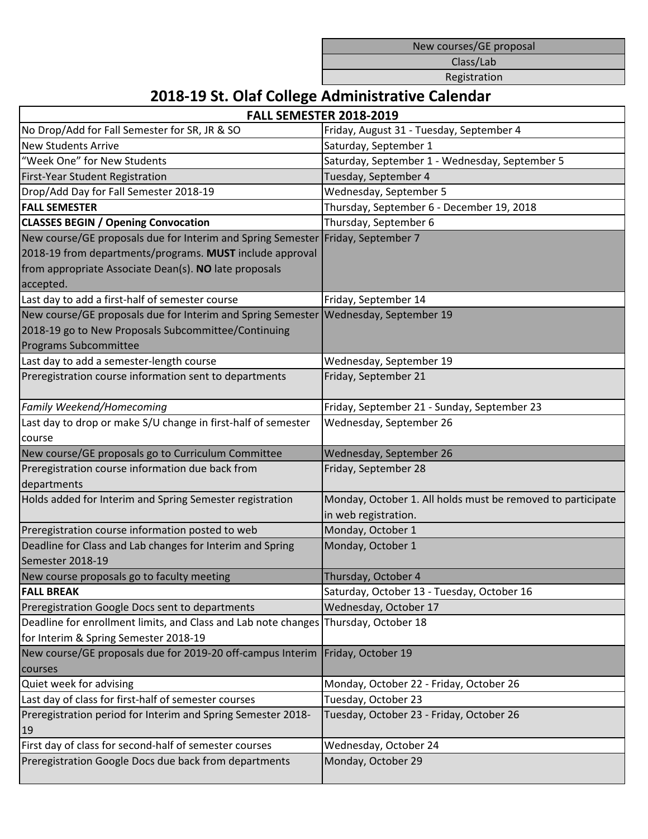New courses/GE proposal

Class/Lab

Registration

## **2018-19 St. Olaf College Administrative Calendar**

| <b>FALL SEMESTER 2018-2019</b>                                                      |                                                             |
|-------------------------------------------------------------------------------------|-------------------------------------------------------------|
| No Drop/Add for Fall Semester for SR, JR & SO                                       | Friday, August 31 - Tuesday, September 4                    |
| <b>New Students Arrive</b>                                                          | Saturday, September 1                                       |
| "Week One" for New Students                                                         | Saturday, September 1 - Wednesday, September 5              |
| First-Year Student Registration                                                     | Tuesday, September 4                                        |
| Drop/Add Day for Fall Semester 2018-19                                              | Wednesday, September 5                                      |
| <b>FALL SEMESTER</b>                                                                | Thursday, September 6 - December 19, 2018                   |
| <b>CLASSES BEGIN / Opening Convocation</b>                                          | Thursday, September 6                                       |
| New course/GE proposals due for Interim and Spring Semester                         | Friday, September 7                                         |
| 2018-19 from departments/programs. MUST include approval                            |                                                             |
| from appropriate Associate Dean(s). NO late proposals                               |                                                             |
| accepted.                                                                           |                                                             |
| Last day to add a first-half of semester course                                     | Friday, September 14                                        |
| New course/GE proposals due for Interim and Spring Semester Wednesday, September 19 |                                                             |
| 2018-19 go to New Proposals Subcommittee/Continuing                                 |                                                             |
| Programs Subcommittee                                                               |                                                             |
| Last day to add a semester-length course                                            | Wednesday, September 19                                     |
| Preregistration course information sent to departments                              | Friday, September 21                                        |
|                                                                                     |                                                             |
| Family Weekend/Homecoming                                                           | Friday, September 21 - Sunday, September 23                 |
| Last day to drop or make S/U change in first-half of semester                       | Wednesday, September 26                                     |
| course                                                                              |                                                             |
| New course/GE proposals go to Curriculum Committee                                  | Wednesday, September 26                                     |
| Preregistration course information due back from                                    | Friday, September 28                                        |
| departments                                                                         |                                                             |
| Holds added for Interim and Spring Semester registration                            | Monday, October 1. All holds must be removed to participate |
|                                                                                     | in web registration.                                        |
| Preregistration course information posted to web                                    | Monday, October 1                                           |
| Deadline for Class and Lab changes for Interim and Spring                           | Monday, October 1                                           |
| Semester 2018-19                                                                    |                                                             |
| New course proposals go to faculty meeting                                          | Thursday, October 4                                         |
| <b>FALL BREAK</b>                                                                   | Saturday, October 13 - Tuesday, October 16                  |
| Preregistration Google Docs sent to departments                                     | Wednesday, October 17                                       |
| Deadline for enrollment limits, and Class and Lab note changes                      | Thursday, October 18                                        |
| for Interim & Spring Semester 2018-19                                               |                                                             |
| New course/GE proposals due for 2019-20 off-campus Interim                          | Friday, October 19                                          |
| courses                                                                             |                                                             |
| Quiet week for advising                                                             | Monday, October 22 - Friday, October 26                     |
| Last day of class for first-half of semester courses                                | Tuesday, October 23                                         |
| Preregistration period for Interim and Spring Semester 2018-                        | Tuesday, October 23 - Friday, October 26                    |
| 19                                                                                  |                                                             |
| First day of class for second-half of semester courses                              | Wednesday, October 24                                       |
| Preregistration Google Docs due back from departments                               | Monday, October 29                                          |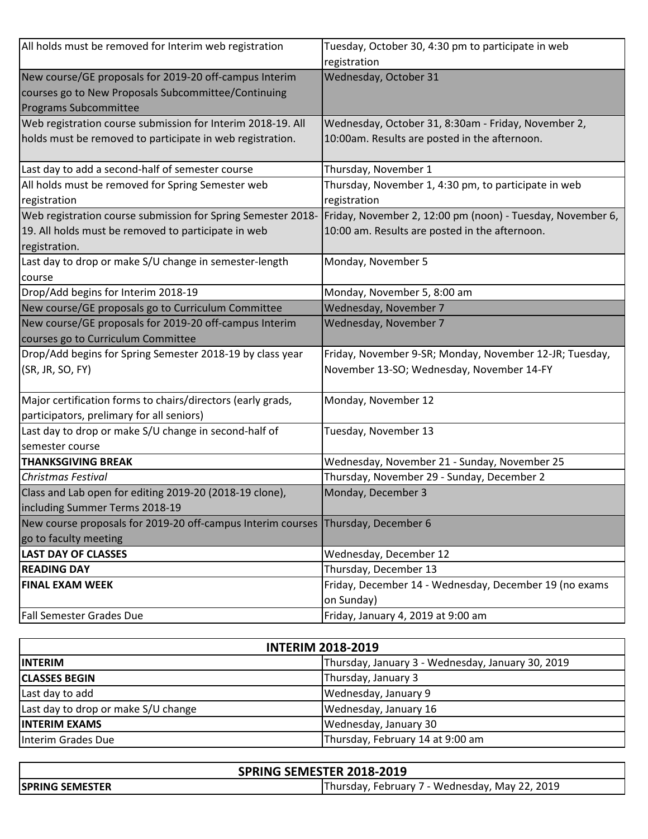| All holds must be removed for Interim web registration       | Tuesday, October 30, 4:30 pm to participate in web         |
|--------------------------------------------------------------|------------------------------------------------------------|
|                                                              | registration                                               |
| New course/GE proposals for 2019-20 off-campus Interim       | Wednesday, October 31                                      |
| courses go to New Proposals Subcommittee/Continuing          |                                                            |
| Programs Subcommittee                                        |                                                            |
| Web registration course submission for Interim 2018-19. All  | Wednesday, October 31, 8:30am - Friday, November 2,        |
| holds must be removed to participate in web registration.    | 10:00am. Results are posted in the afternoon.              |
| Last day to add a second-half of semester course             | Thursday, November 1                                       |
| All holds must be removed for Spring Semester web            | Thursday, November 1, 4:30 pm, to participate in web       |
| registration                                                 | registration                                               |
| Web registration course submission for Spring Semester 2018- | Friday, November 2, 12:00 pm (noon) - Tuesday, November 6, |
| 19. All holds must be removed to participate in web          | 10:00 am. Results are posted in the afternoon.             |
| registration.                                                |                                                            |
| Last day to drop or make S/U change in semester-length       | Monday, November 5                                         |
| course                                                       |                                                            |
| Drop/Add begins for Interim 2018-19                          | Monday, November 5, 8:00 am                                |
| New course/GE proposals go to Curriculum Committee           | Wednesday, November 7                                      |
| New course/GE proposals for 2019-20 off-campus Interim       | Wednesday, November 7                                      |
| courses go to Curriculum Committee                           |                                                            |
| Drop/Add begins for Spring Semester 2018-19 by class year    | Friday, November 9-SR; Monday, November 12-JR; Tuesday,    |
| (SR, JR, SO, FY)                                             | November 13-SO; Wednesday, November 14-FY                  |
|                                                              |                                                            |
| Major certification forms to chairs/directors (early grads,  | Monday, November 12                                        |
| participators, prelimary for all seniors)                    |                                                            |
| Last day to drop or make S/U change in second-half of        | Tuesday, November 13                                       |
| semester course                                              |                                                            |
| <b>THANKSGIVING BREAK</b>                                    | Wednesday, November 21 - Sunday, November 25               |
| <b>Christmas Festival</b>                                    | Thursday, November 29 - Sunday, December 2                 |
| Class and Lab open for editing 2019-20 (2018-19 clone),      | Monday, December 3                                         |
| including Summer Terms 2018-19                               |                                                            |
| New course proposals for 2019-20 off-campus Interim courses  | Thursday, December 6                                       |
| go to faculty meeting                                        |                                                            |
| <b>LAST DAY OF CLASSES</b>                                   | Wednesday, December 12                                     |
| <b>READING DAY</b>                                           | Thursday, December 13                                      |
| <b>FINAL EXAM WEEK</b>                                       | Friday, December 14 - Wednesday, December 19 (no exams     |
|                                                              | on Sunday)                                                 |
| <b>Fall Semester Grades Due</b>                              | Friday, January 4, 2019 at 9:00 am                         |

| <b>INTERIM 2018-2019</b>            |                                                   |  |
|-------------------------------------|---------------------------------------------------|--|
| <b>IINTERIM</b>                     | Thursday, January 3 - Wednesday, January 30, 2019 |  |
| <b>CLASSES BEGIN</b>                | Thursday, January 3                               |  |
| Last day to add                     | Wednesday, January 9                              |  |
| Last day to drop or make S/U change | Wednesday, January 16                             |  |
| <b>INTERIM EXAMS</b>                | Wednesday, January 30                             |  |
| Interim Grades Due                  | Thursday, February 14 at 9:00 am                  |  |

| SPRING SEMESTER 2018-2019 |                                                |
|---------------------------|------------------------------------------------|
| <b>ISPRING SEMESTER</b>   | Thursday, February 7 - Wednesday, May 22, 2019 |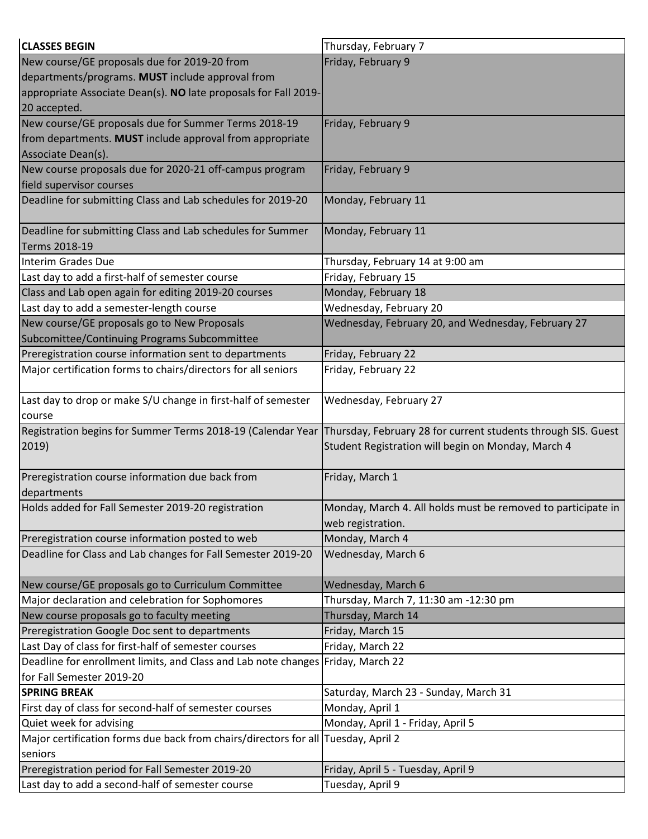| <b>CLASSES BEGIN</b>                                                              | Thursday, February 7                                          |
|-----------------------------------------------------------------------------------|---------------------------------------------------------------|
| New course/GE proposals due for 2019-20 from                                      | Friday, February 9                                            |
| departments/programs. MUST include approval from                                  |                                                               |
| appropriate Associate Dean(s). NO late proposals for Fall 2019-                   |                                                               |
| 20 accepted.                                                                      |                                                               |
| New course/GE proposals due for Summer Terms 2018-19                              | Friday, February 9                                            |
| from departments. MUST include approval from appropriate                          |                                                               |
| Associate Dean(s).                                                                |                                                               |
| New course proposals due for 2020-21 off-campus program                           | Friday, February 9                                            |
| field supervisor courses                                                          |                                                               |
| Deadline for submitting Class and Lab schedules for 2019-20                       | Monday, February 11                                           |
| Deadline for submitting Class and Lab schedules for Summer<br>Terms 2018-19       | Monday, February 11                                           |
| Interim Grades Due                                                                | Thursday, February 14 at 9:00 am                              |
| Last day to add a first-half of semester course                                   | Friday, February 15                                           |
| Class and Lab open again for editing 2019-20 courses                              | Monday, February 18                                           |
| Last day to add a semester-length course                                          | Wednesday, February 20                                        |
| New course/GE proposals go to New Proposals                                       | Wednesday, February 20, and Wednesday, February 27            |
| Subcomittee/Continuing Programs Subcommittee                                      |                                                               |
| Preregistration course information sent to departments                            | Friday, February 22                                           |
| Major certification forms to chairs/directors for all seniors                     | Friday, February 22                                           |
|                                                                                   |                                                               |
| Last day to drop or make S/U change in first-half of semester                     | Wednesday, February 27                                        |
| course                                                                            |                                                               |
| Registration begins for Summer Terms 2018-19 (Calendar Year                       | Thursday, February 28 for current students through SIS. Guest |
| 2019)                                                                             | Student Registration will begin on Monday, March 4            |
|                                                                                   |                                                               |
| Preregistration course information due back from                                  | Friday, March 1                                               |
| departments                                                                       |                                                               |
| Holds added for Fall Semester 2019-20 registration                                | Monday, March 4. All holds must be removed to participate in  |
|                                                                                   | web registration.                                             |
| Preregistration course information posted to web                                  | Monday, March 4                                               |
| Deadline for Class and Lab changes for Fall Semester 2019-20                      | Wednesday, March 6                                            |
| New course/GE proposals go to Curriculum Committee                                | Wednesday, March 6                                            |
| Major declaration and celebration for Sophomores                                  | Thursday, March 7, 11:30 am -12:30 pm                         |
| New course proposals go to faculty meeting                                        | Thursday, March 14                                            |
| Preregistration Google Doc sent to departments                                    | Friday, March 15                                              |
| Last Day of class for first-half of semester courses                              | Friday, March 22                                              |
| Deadline for enrollment limits, and Class and Lab note changes Friday, March 22   |                                                               |
| for Fall Semester 2019-20                                                         |                                                               |
| <b>SPRING BREAK</b>                                                               | Saturday, March 23 - Sunday, March 31                         |
| First day of class for second-half of semester courses                            | Monday, April 1                                               |
| Quiet week for advising                                                           | Monday, April 1 - Friday, April 5                             |
| Major certification forms due back from chairs/directors for all Tuesday, April 2 |                                                               |
| seniors                                                                           |                                                               |
| Preregistration period for Fall Semester 2019-20                                  | Friday, April 5 - Tuesday, April 9                            |
| Last day to add a second-half of semester course                                  | Tuesday, April 9                                              |